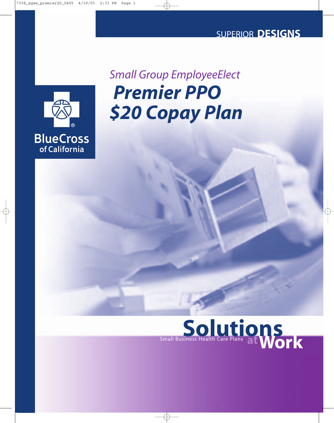### SUPERIOR **DESIGNS**



# *Premier PPO \$20 Copay Plan Small Group EmployeeElect*

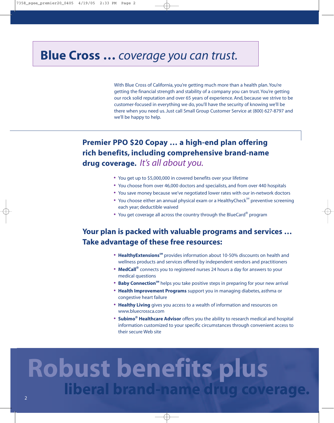## **Blue Cross …** *coverage you can trust.*

With Blue Cross of California, you're getting much more than a health plan. You're getting the financial strength and stability of a company you can trust. You're getting our rock solid reputation and over 65 years of experience. And, because we strive to be customer-focused in everything we do, you'll have the security of knowing we'll be there when you need us. Just call Small Group Customer Service at (800) 627-8797 and we'll be happy to help.

### **Premier PPO \$20 Copay … a high-end plan offering rich benefits, including comprehensive brand-name drug coverage.** *It's all about you.*

- **•** You get up to \$5,000,000 in covered benefits over your lifetime
- **•** You choose from over 46,000 doctors and specialists, and from over 440 hospitals
- **•** You save money because we've negotiated lower rates with our in-network doctors
- You choose either an annual physical exam or a HealthyCheck<sup>SM</sup> preventive screening each year; deductible waived
- **•** You get coverage all across the country through the BlueCard® program

### **Your plan is packed with valuable programs and services … Take advantage of these free resources:**

- **HealthyExtensions**<sup>SM</sup> provides information about 10-50% discounts on health and wellness products and services offered by independent vendors and practitioners
- **• MedCall®** connects you to registered nurses 24 hours a day for answers to your medical questions
- **Baby Connection**<sup>5M</sup> helps you take positive steps in preparing for your new arrival
- **• Health Improvement Programs** support you in managing diabetes, asthma or congestive heart failure
- **• Healthy Living** gives you access to a wealth of information and resources on www.bluecrossca.com
- **• Subimo® Healthcare Advisor** offers you the ability to research medical and hospital information customized to your specific circumstances through convenient access to their secure Web site

# **Robust benefits plus liberal brand-name drug coverage.** <sup>2</sup>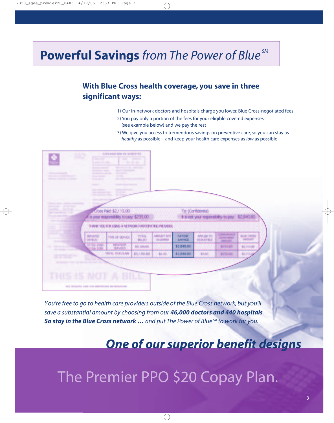# **Powerful Savings** *from The Power of Blue SM*

### **With Blue Cross health coverage, you save in three significant ways:**

- 1) Our in-network doctors and hospitals charge you lower, Blue Cross-negotiated fees
- 2) You pay only a portion of the fees for your eligible covered expenses (see example below) and we pay the rest
- 3) We give you access to tremendous savings on preventive care, so you can stay as *healthy* as possible – and keep your health care expenses as *low* as possible



*You're free to go to health care providers outside of the Blue Cross network, but you'll save a substantial amount by choosing from our 46,000 doctors and 440 hospitals. So stay in the Blue Cross network … and put The Power of Blue SM to work for you.*

*One of our superior benefit designs*

# The Premier PPO \$20 Copay Plan.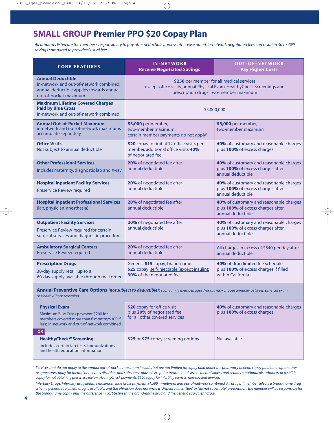### **SMALL GROUP Premier PPO \$20 Copay Plan**

*All amounts listed are the member's responsibility to pay after deductibles, unless otherwise noted. In-network negotiated fees can result in 30 to 40% savings compared to providers' usual fees.*

| <b>CORE FEATURES</b>                                                                                                                     | <b>IN-NETWORK</b><br><b>Receive Negotiated Savings</b>                                                                                                         | <b>OUT-OF-NETWORK</b><br><b>Pay Higher Costs</b>                                                  |
|------------------------------------------------------------------------------------------------------------------------------------------|----------------------------------------------------------------------------------------------------------------------------------------------------------------|---------------------------------------------------------------------------------------------------|
| <b>Annual Deductible</b><br>In-network and out-of-network combined,<br>annual deductible applies towards annual<br>out-of-pocket maximum | \$250 per member for all medical services<br>except office visits, annual Physical Exam, HealthyCheck screenings and<br>prescription drugs; two-member maximum |                                                                                                   |
| <b>Maximum Lifetime Covered Charges</b><br><b>Paid by Blue Cross</b><br>In-network and out-of-network combined                           | \$5,000,000                                                                                                                                                    |                                                                                                   |
| <b>Annual Out-of-Pocket Maximum</b><br>in-network and out-of-network maximums<br>accumulate separately                                   | \$3,000 per member,<br>two-member maximum;<br>certain member payments do not apply <sup>1</sup>                                                                | \$5,000 per member,<br>two-member maximum                                                         |
| <b>Office Visits</b><br>Not subject to annual deductible                                                                                 | \$20 copay for initial 12 office visits per<br>member, additional office visits 40%<br>of negotiated fee                                                       | 40% of customary and reasonable charges<br>plus 100% of excess charges                            |
| <b>Other Professional Services</b><br>Includes maternity, diagnostic lab and X-ray                                                       | 20% of negotiated fee after<br>annual deductible                                                                                                               | 40% of customary and reasonable charges<br>plus 100% of excess charges after<br>annual deductible |
| <b>Hospital Inpatient Facility Services</b><br><b>Preservice Review required</b>                                                         | 20% of negotiated fee after<br>annual deductible                                                                                                               | 40% of customary and reasonable charges<br>plus 100% of excess charges after<br>annual deductible |
| <b>Hospital Inpatient Professional Services</b><br>(lab, physician, anesthesia)                                                          | 20% of negotiated fee after<br>annual deductible                                                                                                               | 40% of customary and reasonable charges<br>plus 100% of excess charges after<br>annual deductible |
| <b>Outpatient Facility Services</b><br>Preservice Review required for certain<br>surgical services and diagnostic procedures             | 20% of negotiated fee after<br>annual deductible                                                                                                               | 40% of customary and reasonable charges<br>plus 100% of excess charges after<br>annual deductible |
| <b>Ambulatory Surgical Centers</b><br><b>Preservice Review required</b>                                                                  | 20% of negotiated fee after<br>annual deductible                                                                                                               | All charges in excess of \$540 per day after<br>annual deductible                                 |
| <b>Prescription Drugs<sup>2</sup></b><br>30-day supply retail; up to a<br>60-day supply available through mail order                     | Generic: \$15 copay; brand-name:<br>\$25 copay; self-injectable (except insulin):<br>30% of the negotiated fee                                                 | 40% of drug limited fee schedule<br>plus 100% of excess charges if filled<br>within California    |

**Annual Preventive Care Options** *(not subject to deductible): each family member, ages 7-adult, may choose annually between physical exam or HealthyCheck screening.*

| <b>Physical Exam</b><br>Maximum Blue Cross payment \$200 for<br>members covered more than 6 months/\$100 if<br>less; in-network and out-of-network combined<br>OR | \$20 copay for office visit<br>plus 20% of negotiated fee<br>for all other covered services | 40% of customary and reasonable charges<br>plus 100% of excess charges |
|-------------------------------------------------------------------------------------------------------------------------------------------------------------------|---------------------------------------------------------------------------------------------|------------------------------------------------------------------------|
| HealthyCheck <sup>SM</sup> Screening<br>Includes certain lab tests, immunizations<br>and health education information                                             | \$25 or \$75 copay screening options                                                        | Not available                                                          |

*<sup>1</sup> Services that do not apply to the annual out-of-pocket maximum include, but are not limited to: copay paid under the pharmacy benefit; copay paid for acupuncture/ acupressure; copay for mental or nervous disorders and substance abuse (except for treatment of severe mental illness and serious emotional disturbances of a child), copay for not obtaining preservice review; HealthyCheck payments; \$500 copay for infertility services; non-covered services.*

*<sup>2</sup> Infertility Drugs: Infertility drug lifetime maximum Blue Cross payment \$1,500 in-network and out-of-network combined. All drugs: if member selects a brand-name drug when a generic equivalent drug is available, and the physician does not write a "dispense as written" or "do not substitute" prescription, the member will be responsible for the brand-name copay plus the difference in cost between the brand-name drug and the generic equivalent drug.*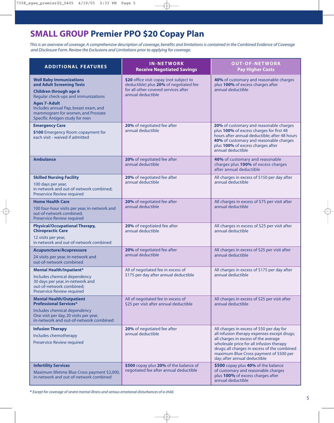### **SMALL GROUP Premier PPO \$20 Copay Plan**

*This is an overview of coverage. A comprehensive description of coverage, benefits and limitations is contained in the Combined Evidence of Coverage and Disclosure Form. Review the Exclusions and Limitations prior to applying for coverage.*

| <b>ADDITIONAL FEATURES</b>                                                                                                                                                                                                                                                 | <b>IN-NETWORK</b><br><b>Receive Negotiated Savings</b>                                                                                         | <b>OUT-OF-NETWORK</b><br><b>Pay Higher Costs</b>                                                                                                                                                                                                                                                        |
|----------------------------------------------------------------------------------------------------------------------------------------------------------------------------------------------------------------------------------------------------------------------------|------------------------------------------------------------------------------------------------------------------------------------------------|---------------------------------------------------------------------------------------------------------------------------------------------------------------------------------------------------------------------------------------------------------------------------------------------------------|
| <b>Well Baby Immunizations</b><br>and Adult Screening Tests<br><b>Children through age 6</b><br>Regular check-ups and immunizations<br><b>Ages 7-Adult</b><br>Includes annual Pap, breast exam, and<br>mammogram for women, and Prostate<br>Specific Antigen study for men | \$20 office visit copay (not subject to<br>deductible) plus 20% of negotiated fee<br>for all other covered services after<br>annual deductible | 40% of customary and reasonable charges<br>plus 100% of excess charges after<br>annual deductible                                                                                                                                                                                                       |
| <b>Emergency Care</b><br>\$100 Emergency Room copayment for<br>each visit - waived if admitted                                                                                                                                                                             | 20% of negotiated fee after<br>annual deductible                                                                                               | 20% of customary and reasonable charges<br>plus 100% of excess charges for first 48<br>hours after annual deductible; after 48 hours<br>40% of customary and reasonable charges<br>plus 100% of excess charges after<br>annual deductible                                                               |
| <b>Ambulance</b>                                                                                                                                                                                                                                                           | 20% of negotiated fee after<br>annual deductible                                                                                               | 40% of customary and reasonable<br>charges plus 100% of excess charges<br>after annual deductible                                                                                                                                                                                                       |
| <b>Skilled Nursing Facility</b><br>100 days per year,<br>in-network and out-of-network combined;<br>Preservice Review required                                                                                                                                             | 20% of negotiated fee after<br>annual deductible                                                                                               | All charges in excess of \$150 per day after<br>annual deductible                                                                                                                                                                                                                                       |
| <b>Home Health Care</b><br>100 four-hour visits per year, in-network and<br>out-of-network combined;<br><b>Preservice Review required</b>                                                                                                                                  | 20% of negotiated fee after<br>annual deductible                                                                                               | All charges in excess of \$75 per visit after<br>annual deductible                                                                                                                                                                                                                                      |
| <b>Physical/Occupational Therapy,</b><br><b>Chiropractic Care</b><br>12 visits per year,<br>in-network and out-of-network combined                                                                                                                                         | 20% of negotiated fee after<br>annual deductible                                                                                               | All charges in excess of \$25 per visit after<br>annual deductible                                                                                                                                                                                                                                      |
| <b>Acupuncture/Acupressure</b><br>24 visits per year, in-network and<br>out-of-network combined                                                                                                                                                                            | 20% of negotiated fee after<br>annual deductible                                                                                               | All charges in excess of \$25 per visit after<br>annual deductible                                                                                                                                                                                                                                      |
| <b>Mental Health/Inpatient*</b><br>Includes chemical dependency<br>30 days per year, in-network and<br>out-of-network combined;<br><b>Preservice Review required</b>                                                                                                       | All of negotiated fee in excess of<br>\$175 per day after annual deductible                                                                    | All charges in excess of \$175 per day after<br>annual deductible                                                                                                                                                                                                                                       |
| <b>Mental Health/Outpatient</b><br><b>Professional Services*</b><br>Includes chemical dependency<br>One visit per day, 20 visits per year,<br>in-network and out-of-network combined                                                                                       | All of negotiated fee in excess of<br>\$25 per visit after annual deductible                                                                   | All charges in excess of \$25 per visit after<br>annual deductible                                                                                                                                                                                                                                      |
| <b>Infusion Therapy</b><br>Includes chemotherapy<br>Preservice Review required                                                                                                                                                                                             | 20% of negotiated fee after<br>annual deductible                                                                                               | All charges in excess of \$50 per day for<br>all infusion therapy expenses except drugs;<br>all charges in excess of the average<br>wholesale price for all infusion therapy<br>drugs; all charges in excess of the combined<br>maximum Blue Cross payment of \$500 per<br>day; after annual deductible |
| <b>Infertility Services</b><br>Maximum lifetime Blue Cross payment \$2,000,<br>in-network and out-of-network combined                                                                                                                                                      | \$500 copay plus 20% of the balance of<br>negotiated fee after annual deductible                                                               | \$500 copay plus 40% of the balance<br>of customary and reasonable charges<br>plus 100% of excess charges after<br>annual deductible                                                                                                                                                                    |

**\*** *Except for coverage of severe mental illness and serious emotional disturbances of a child.*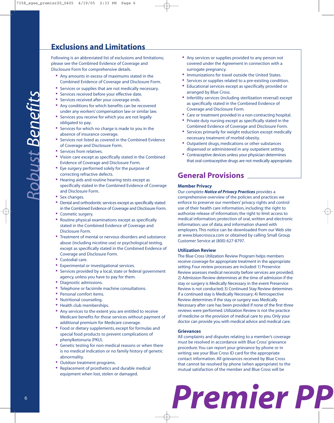### **Exclusions and Limitations**

Following is an abbreviated list of exclusions and limitations; please see the Combined Evidence of Coverage and Disclosure Form for comprehensive details.

- **•** Any amounts in excess of maximums stated in the Combined Evidence of Coverage and Disclosure Form.
- Services or supplies that are not medically necessary.<br>• Services received before your effective date.
- **•** Services received before your effective date.
- **•** Services received after your coverage ends.
- **•** Any conditions for which benefits can be recovered under any workers' compensation law or similar law.
- **•** Services you receive for which you are not legally obligated to pay.
- **•** Services for which no charge is made to you in the absence of insurance coverage.
- **•** Services not listed as covered in the Combined Evidence of Coverage and Disclosure Form.
- **•** Services from relatives.
- **•** Vision care except as specifically stated in the Combined Evidence of Coverage and Disclosure Form.
- **•** Eye surgery performed solely for the purpose of correcting refractive defects.
- **•** Hearing aids and routine hearing tests except as specifically stated in the Combined Evidence of Coverage and Disclosure Form.
- **•** Sex changes.
- **•** Dental and orthodontic services except as specifically stated in the Combined Evidence of Coverage and Disclosure Form.
- **•** Cosmetic surgery.
- **•** Routine physical examinations except as specifically stated in the Combined Evidence of Coverage and Disclosure Form.
- **•** Treatment of mental or nervous disorders and substance abuse (including nicotine use) or psychological testing, except as specifically stated in the Combined Evidence of Coverage and Disclosure Form.
- **•** Custodial care.
- **•** Experimental or investigational services.
- **•** Services provided by a local, state or federal government agency, unless you have to pay for them.
- **•** Diagnostic admissions.
- **•** Telephone or facsimile machine consultations.
- **•** Personal comfort items.
- **•** Nutritional counseling.
- **•** Health club memberships.
- **•** Any services to the extent you are entitled to receive Medicare benefits for those services without payment of additional premium for Medicare coverage.
- **•** Food or dietary supplements, except for formulas and special food products to prevent complications of phenylketonuria (PKU).
- **•** Genetic testing for non-medical reasons or when there is no medical indication or no family history of genetic abnormality.
- **•** Outdoor treatment programs.
- **•** Replacement of prosthetics and durable medical equipment when lost, stolen or damaged.
- **•** Any services or supplies provided to any person not covered under the Agreement in connection with a surrogate pregnancy.
- **•** Immunizations for travel outside the United States.
- **•** Services or supplies related to a pre-existing condition.
- **•** Educational services except as specifically provided or arranged by Blue Cross.
- **•** Infertility services (including sterilization reversal) except as specifically stated in the Combined Evidence of Coverage and Disclosure Form.
- **•** Care or treatment provided in a non-contracting hospital.
- **•** Private duty nursing except as specifically stated in the Combined Evidence of Coverage and Disclosure Form.
- **•** Services primarily for weight reduction except medically necessary treatment of morbid obesity.
- **•** Outpatient drugs, medications or other substances dispensed or administered in any outpatient setting.
- **•** Contraceptive devices unless your physician determines that oral contraceptive drugs are not medically appropriate.

### **General Provisions**

#### **Member Privacy**

Our complete *Notice of Privacy Practices* provides a comprehensive overview of the policies and practices we enforce to preserve our members' privacy rights and control use of their health care information, including: the right to authorize release of information; the right to limit access to medical information; protection of oral, written and electronic information; use of data; and information shared with employers. This notice can be downloaded from our Web site at www.bluecrossca.com or obtained by calling Small Group Customer Service at (800) 627-8797.

#### **Utilization Review**

The Blue Cross Utilization Review Program helps members receive coverage for appropriate treatment in the appropriate setting. Four review processes are included: 1) Preservice Review assesses medical necessity before services are provided; 2) Admission Review determines at the time of admission if the stay or surgery is Medically Necessary in the event Preservice Review is not conducted; 3) Continued Stay Review determines if a continued stay is Medically Necessary; 4) Retrospective Review determines if the stay or surgery was Medically Necessary after care has been provided if none of the first three reviews were performed. Utilization Review is not the practice of medicine or the provision of medical care to you. Only your doctor can provide you with medical advice and medical care.

#### **Grievances**

All complaints and disputes relating to a member's coverage must be resolved in accordance with Blue Cross' grievance procedure. You can report your grievance by phone or in writing; see your Blue Cross ID card for the appropriate contact information. All grievances received by Blue Cross that cannot be resolved by phone (when appropriate) to the mutual satisfaction of the member and Blue Cross will be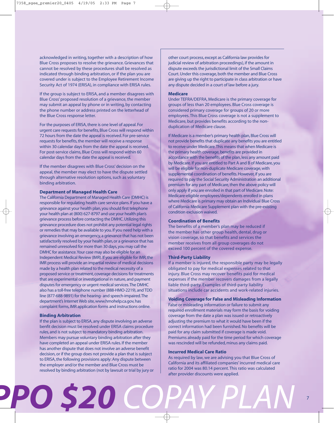acknowledged in writing, together with a description of how Blue Cross proposes to resolve the grievance. Grievances that cannot be resolved by these procedures shall be resolved as indicated through binding arbitration, or if the plan you are covered under is subject to the Employee Retirement Income Security Act of 1974 (ERISA), in compliance with ERISA rules.

If the group is subject to ERISA, and a member disagrees with Blue Cross' proposed resolution of a grievance, the member may submit an appeal by phone or in writing, by contacting the phone number or address printed on the letterhead of the Blue Cross response letter.

For the purposes of ERISA, there is one level of appeal. For urgent care requests for benefits, Blue Cross will respond within 72 hours from the date the appeal is received. For pre-service requests for benefits, the member will receive a response within 30 calendar days from the date the appeal is received. For post-service claims, Blue Cross will respond within 60 calendar days from the date the appeal is received.

If the member disagrees with Blue Cross' decision on the appeal, the member may elect to have the dispute settled through alternative resolution options, such as voluntary binding arbitration.

#### **Department of Managed Health Care**

The California Department of Managed Health Care (DMHC) is responsible for regulating health care service plans. If you have a grievance against your health plan, you should first telephone your health plan at (800) 627-8797 and use your health plan's grievance process before contacting the DMHC. Utilizing this grievance procedure does not prohibit any potential legal rights or remedies that may be available to you. If you need help with a grievance involving an emergency, a grievance that has not been satisfactorily resolved by your health plan, or a grievance that has remained unresolved for more than 30 days, you may call the DMHC for assistance.Your case may also be eligible for an Independent Medical Review (IMR). If you are eligible for IMR, the IMR process will provide an impartial review of medical decisions made by a health plan related to the medical necessity of a proposed service or treatment, coverage decisions for treatments that are experimental or investigational in nature, and payment disputes for emergency or urgent medical services.The DMHC also has a toll-free telephone number (888-HMO-2219), and TDD line (877-688-9891) for the hearing- and speech-impaired.The department's Internet Web site, www.hmohelp.ca.gov, has complaint forms, IMR application forms and instructions online.

#### **Binding Arbitration**

 *PPO \$20 COPAY PLAN*

If the plan is subject to ERISA, any dispute involving an adverse benfit decision must be resolved under ERISA claims procedure rules, and is not subject to mandatory binding arbitration. Members may pursue voluntary binding arbitration after they have completed an appeal under ERISA rules. If the member has another dispute that does not involve an adverse benefit decision,or if the group does not provide a plan that is subject to ERISA, the following provisions apply: Any dispute between the employer and/or the member and Blue Cross must be resolved by binding arbitration (not by lawsuit or trial by jury or other court process, except as California law provides for judicial review of arbitration proceedings), if the amount in dispute exceeds the jurisdictional limit of the Small Claims Court. Under this coverage, both the member and Blue Cross are giving up the right to participate in class arbitration or have any dispute decided in a court of law before a jury.

#### **Medicare**

Under TEFRA/DEFRA, Medicare is the primary coverage for groups of less than 20 employees. Blue Cross coverage is considered primary coverage for groups of 20 or more employees. This Blue Cross coverage is not a supplement to Medicare, but provides benefits according to the nonduplication of Medicare clause.

If Medicare is a member's primary health plan, Blue Cross will not provide benefits that duplicate any benefits you are entitled to receive under Medicare.This means that when Medicare is the primary health coverage, benefits are provided in accordance with the benefits of the plan, less any amount paid by Medicare. If you are entitled to Part A and B of Medicare, you will be eligible for non-duplicate Medicare coverage, with supplemental coordination of benefits. However, if you are required to pay the Social Security Administration an additional premium for any part of Medicare, then the above policy will only apply if you are enrolled in that part of Medicare. Note: Medicare-eligible employees/dependents enrolled in plans where Medicare is primary may obtain an Individual Blue Cross of California Medicare Supplement plan with the pre-existing condition exclusion waived.

#### **Coordination of Benefits**

The benefits of a member's plan may be reduced if the member has other group health, dental, drug or vision coverage, so that benefits and services the member receives from all group coverages do not exceed 100 percent of the covered expense.

#### **Third-Party Liability**

If a member is injured, the responsible party may be legally obligated to pay for medical expenses related to that injury. Blue Cross may recover benefits paid for medical expenses if the member recovers damages from a legally liable third-party. Examples of third-party liability situations include car accidents and work-related injuries.

#### **Voiding Coverage for False and Misleading Information**

False or misleading information or failure to submit any required enrollment materials may form the basis for voiding coverage from the date a plan was issued or retroactively adjusting the premium to what it would have been if the correct information had been furnished. No benefits will be paid for any claim submitted if coverage is made void. Premiums already paid for the time period for which coverage was rescinded will be refunded, minus any claims paid.

#### **Incurred Medical Care Ratio**

As required by law, we are advising you that Blue Cross of California and its affiliated companies' incurred medical care ratio for 2004 was 80.14 percent. This ratio was calculated after provider discounts were applied.